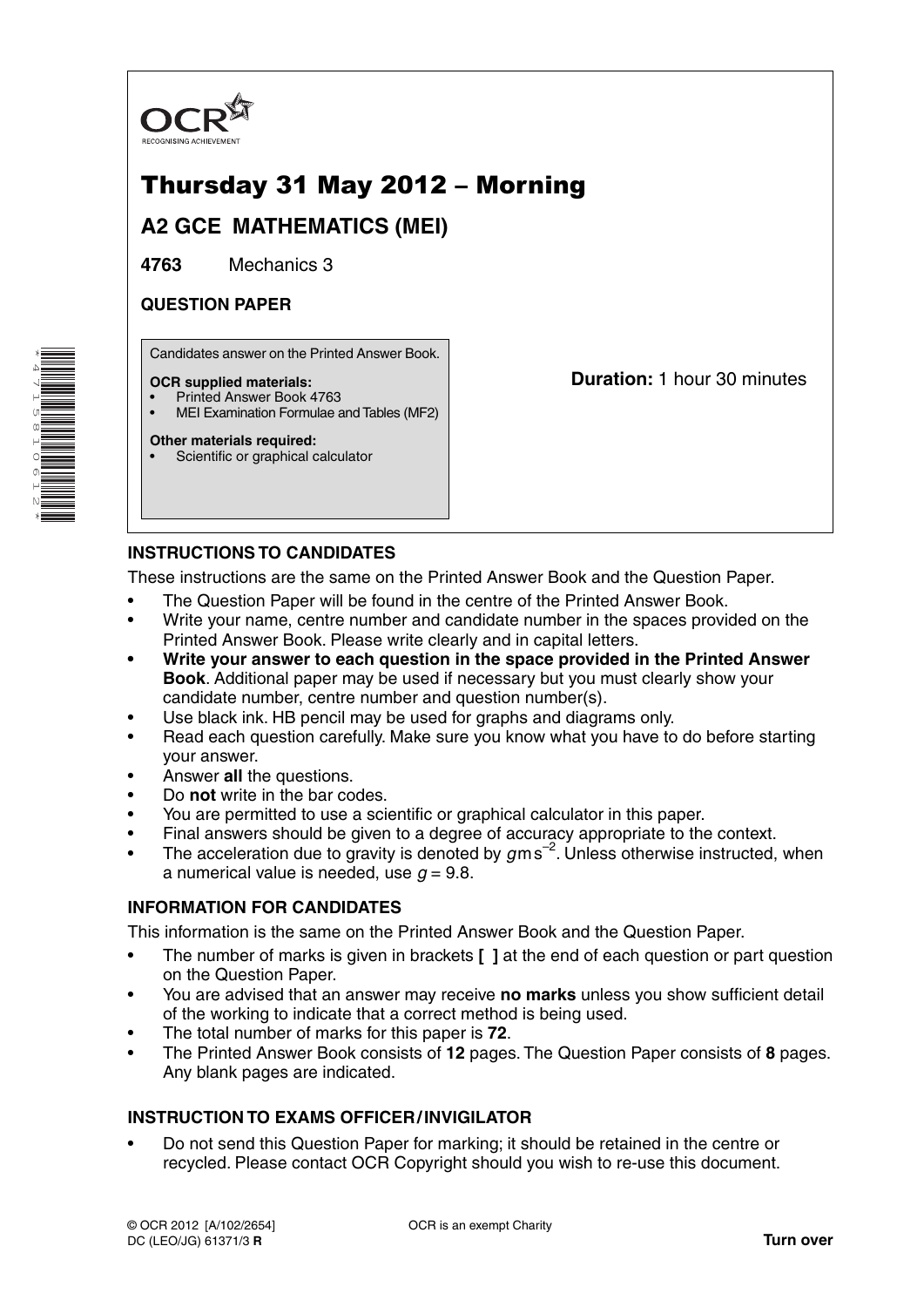

# Thursday 31 May 2012 – Morning

## **A2 GCE MATHEMATICS (MEI)**

**4763** Mechanics 3

## **QUESTION PAPER**

Candidates answer on the Printed Answer Book.

#### **OCR supplied materials:**

- Printed Answer Book 4763
- MEI Examination Formulae and Tables (MF2)

#### **Other materials required:**

\*4715810612\*

Scientific or graphical calculator

**Duration:** 1 hour 30 minutes

## **INSTRUCTIONS TO CANDIDATES**

These instructions are the same on the Printed Answer Book and the Question Paper.

- The Question Paper will be found in the centre of the Printed Answer Book.
- Write your name, centre number and candidate number in the spaces provided on the Printed Answer Book. Please write clearly and in capital letters.
- **Write your answer to each question in the space provided in the Printed Answer Book**. Additional paper may be used if necessary but you must clearly show your candidate number, centre number and question number(s).
- Use black ink. HB pencil may be used for graphs and diagrams only.
- Read each question carefully. Make sure you know what you have to do before starting your answer.
- Answer **all** the questions.
- Do **not** write in the bar codes.
- You are permitted to use a scientific or graphical calculator in this paper.
- Final answers should be given to a degree of accuracy appropriate to the context.
- The acceleration due to gravity is denoted by  $g$ m s<sup>-2</sup>. Unless otherwise instructed, when a numerical value is needed, use  $q = 9.8$ .

### **INFORMATION FOR CANDIDATES**

This information is the same on the Printed Answer Book and the Question Paper.

- The number of marks is given in brackets **[ ]** at the end of each question or part question on the Question Paper.
- You are advised that an answer may receive **no marks** unless you show sufficient detail of the working to indicate that a correct method is being used.
- The total number of marks for this paper is **72**.
- The Printed Answer Book consists of **12** pages. The Question Paper consists of **8** pages. Any blank pages are indicated.

### **INSTRUCTION TO EXAMS OFFICER / INVIGILATOR**

• Do not send this Question Paper for marking; it should be retained in the centre or recycled. Please contact OCR Copyright should you wish to re-use this document.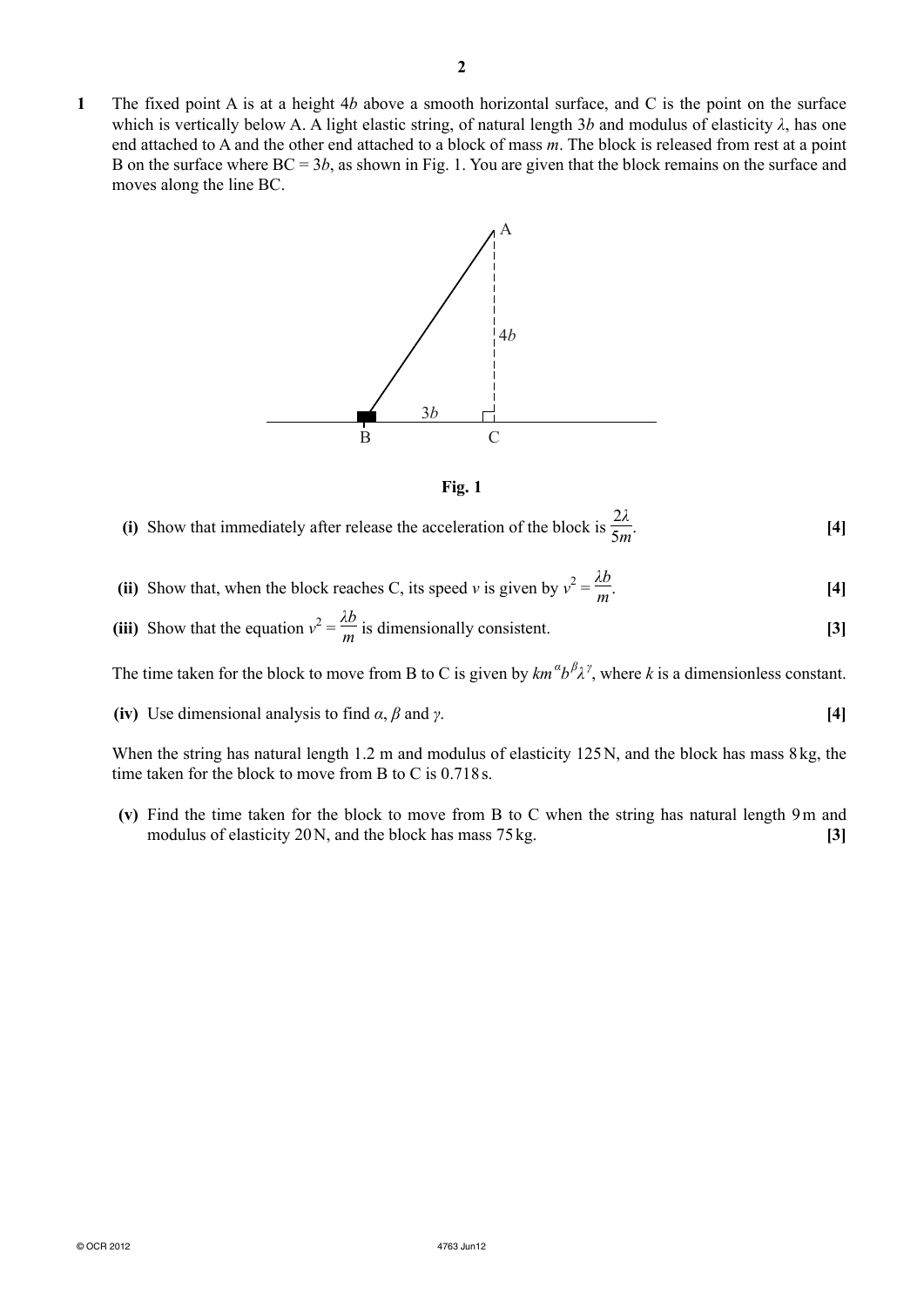**1** The fixed point A is at a height 4*b* above a smooth horizontal surface, and C is the point on the surface which is vertically below A. A light elastic string, of natural length 3*b* and modulus of elasticity *λ*, has one end attached to A and the other end attached to a block of mass *m*. The block is released from rest at a point B on the surface where BC = 3*b*, as shown in Fig. 1. You are given that the block remains on the surface and moves along the line BC.



**Fig. 1**

- **(i)** Show that immediately after release the acceleration of the block is  $\frac{2\lambda}{5m}$  $\frac{2\pi}{5m}$ . [4]
- (ii) Show that, when the block reaches C, its speed *v* is given by  $v^2 = \frac{\lambda b}{m}$  $\frac{1}{m}$  [4]
- (iii) Show that the equation  $v^2 = \frac{\lambda b}{m}$  is dimensionally consistent. **[3]**

The time taken for the block to move from B to C is given by  $km^{\alpha}b^{\beta}\lambda^{\gamma}$ , where k is a dimensionless constant.

**(iv)** Use dimensional analysis to find  $\alpha$ ,  $\beta$  and  $\gamma$ . **[4]** 

When the string has natural length 1.2 m and modulus of elasticity 125 N, and the block has mass 8 kg, the time taken for the block to move from B to C is 0.718 s.

 **(v)** Find the time taken for the block to move from B to C when the string has natural length 9 m and modulus of elasticity 20 N, and the block has mass 75 kg. **[3]**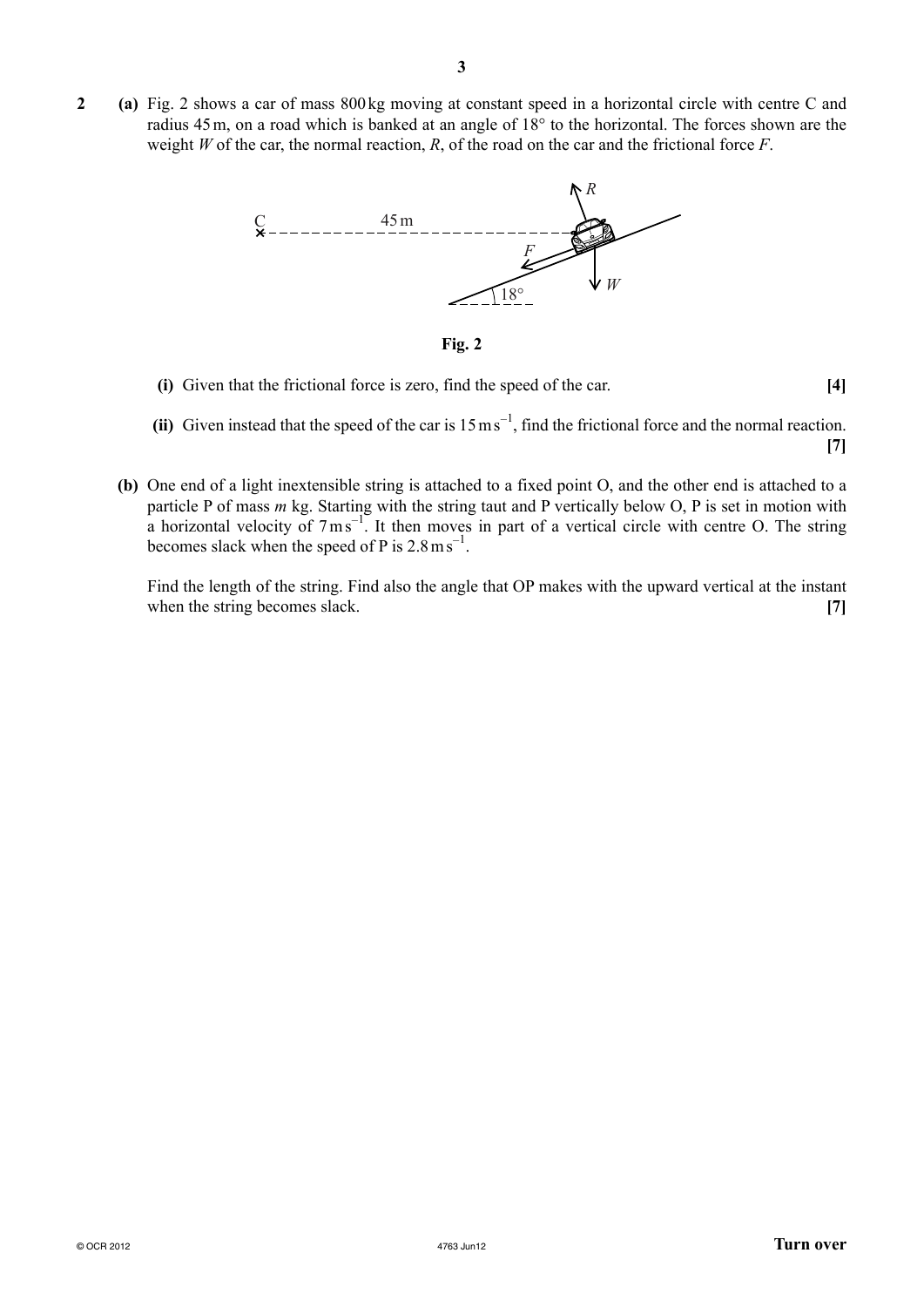**3**



**Fig. 2**

- **(i)** Given that the frictional force is zero, find the speed of the car. **[4]**
- **(ii)** Given instead that the speed of the car is  $15 \text{ m s}^{-1}$ , find the frictional force and the normal reaction. **[7]**
	- **(b)** One end of a light inextensible string is attached to a fixed point O, and the other end is attached to a particle P of mass *m* kg. Starting with the string taut and P vertically below O, P is set in motion with a horizontal velocity of  $7 \text{ ms}^{-1}$ . It then moves in part of a vertical circle with centre O. The string becomes slack when the speed of P is  $2.8 \text{ m s}^{-1}$ .

Find the length of the string. Find also the angle that OP makes with the upward vertical at the instant when the string becomes slack. **[7]**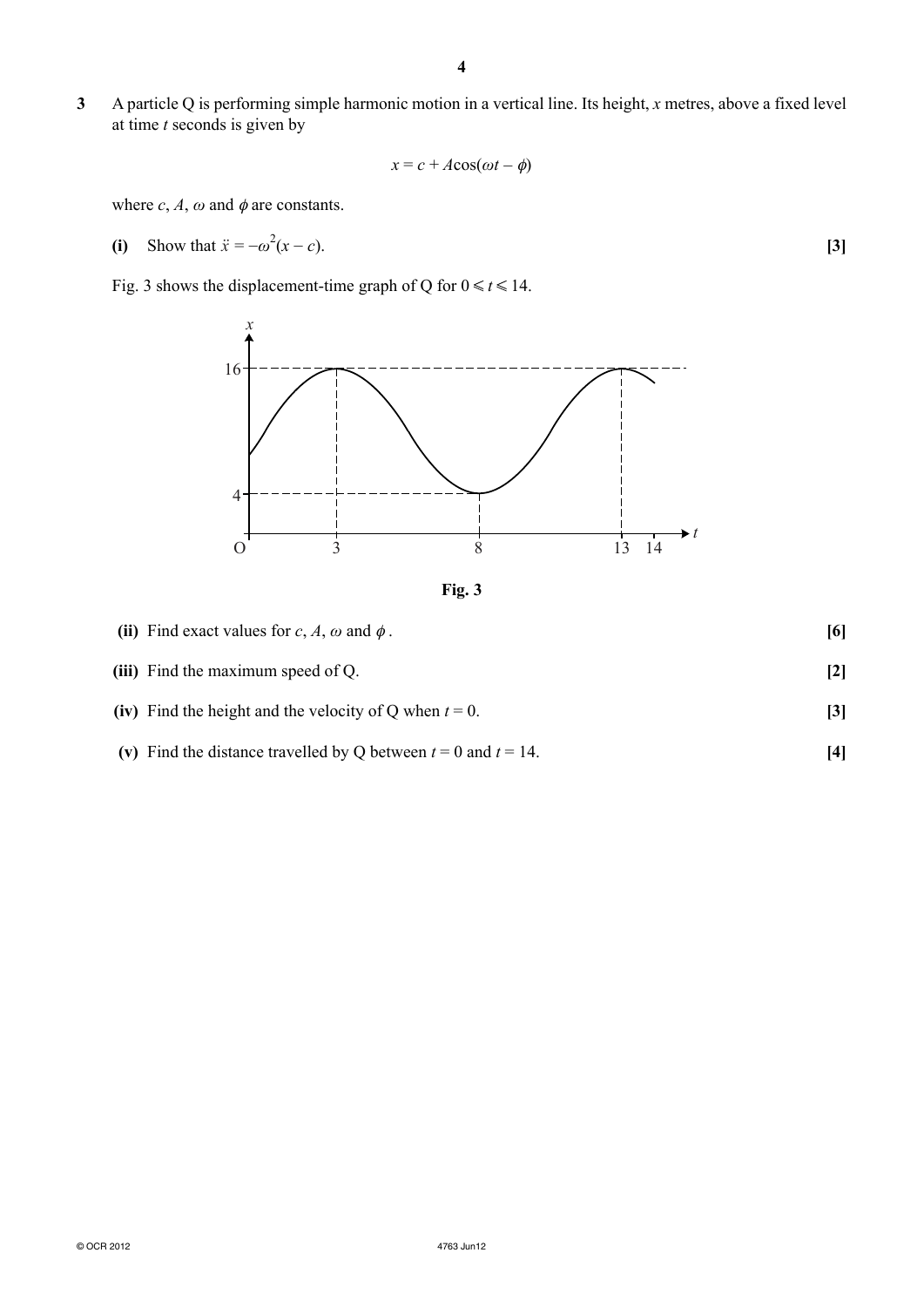**3** A particle Q is performing simple harmonic motion in a vertical line. Its height, *x* metres, above a fixed level at time *t* seconds is given by

$$
x = c + A\cos(\omega t - \phi)
$$

where  $c, A, \omega$  and  $\phi$  are constants.

- **(i)** Show that  $\ddot{x} = -\omega^2$  $(x - c)$ . **[3]** 
	- Fig. 3 shows the displacement-time graph of Q for  $0 \le t \le 14$ .





**(ii)** Find exact values for  $c, A, \omega$  and  $\phi$ . **[6] (iii)** Find the maximum speed of Q. **[2] (iv)** Find the height and the velocity of Q when  $t = 0$ . [3]

**(v)** Find the distance travelled by Q between  $t = 0$  and  $t = 14$ . [4]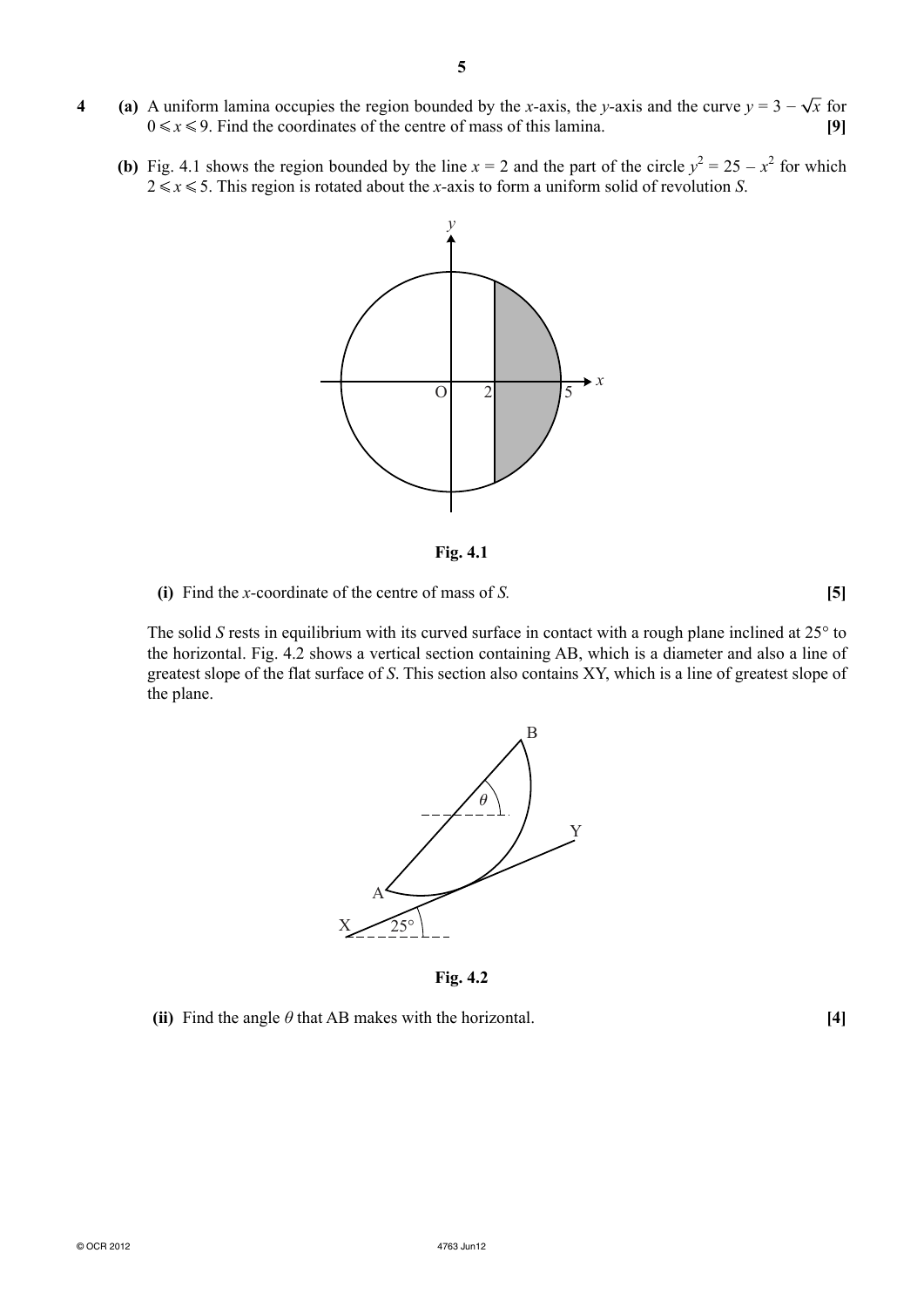- **4** (a) A uniform lamina occupies the region bounded by the *x*-axis, the *y*-axis and the curve  $y = 3 \sqrt{x}$  for  $0 \le x \le 9$ . Find the coordinates of the centre of mass of this lamina. **[9]**
- **(b)** Fig. 4.1 shows the region bounded by the line  $x = 2$  and the part of the circle  $y^2 = 25 x^2$  for which  $2 \le x \le 5$ . This region is rotated about the *x*-axis to form a uniform solid of revolution *S*.



**Fig. 4.1**

 **(i)** Find the *x-*coordinate of the centre of mass of *S.* **[5]**

The solid *S* rests in equilibrium with its curved surface in contact with a rough plane inclined at 25° to the horizontal. Fig. 4.2 shows a vertical section containing AB, which is a diameter and also a line of greatest slope of the flat surface of *S*. This section also contains XY, which is a line of greatest slope of the plane.



**Fig. 4.2**

**(ii)** Find the angle  $\theta$  that AB makes with the horizontal. **[4]**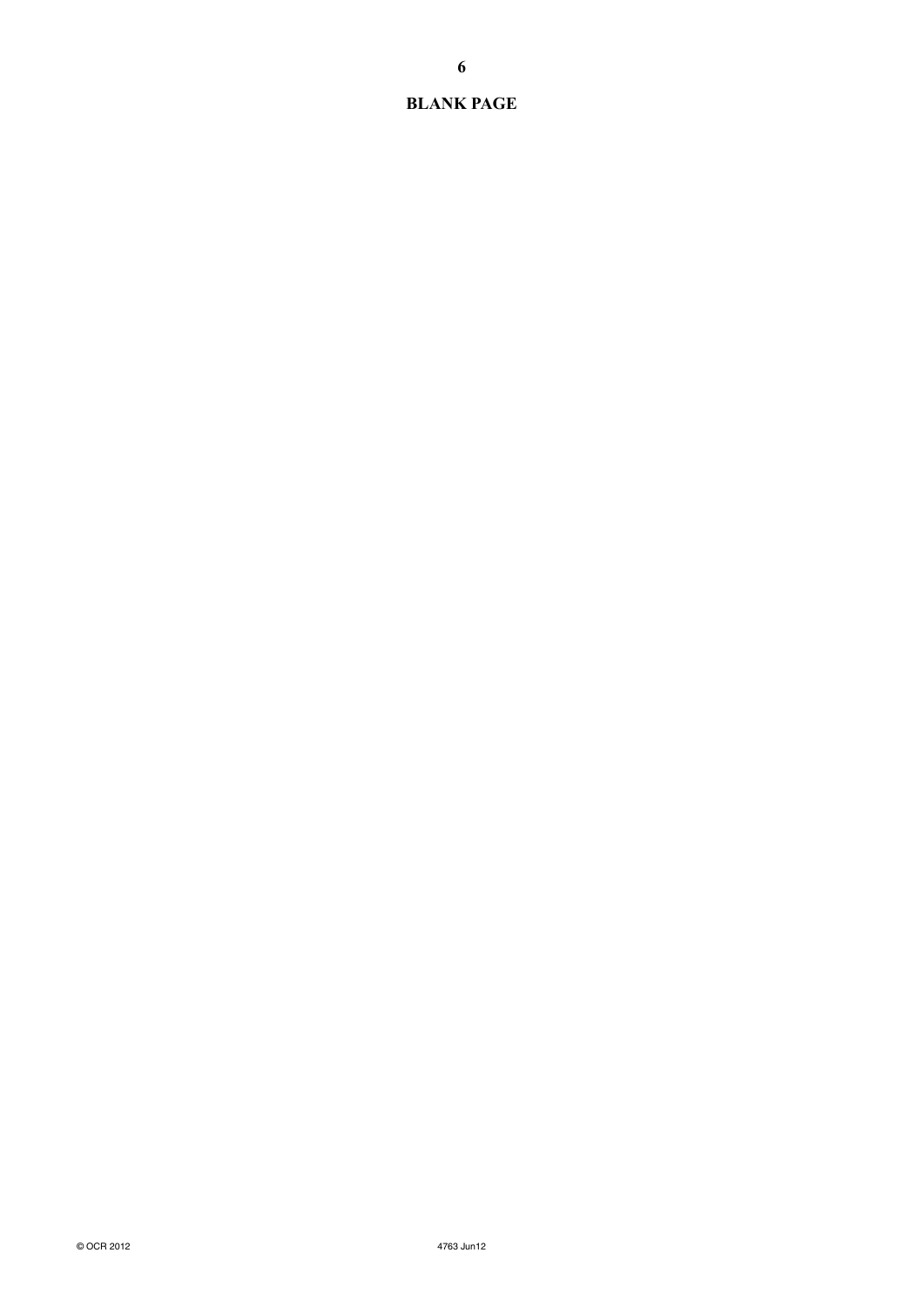#### **BLANK PAGE**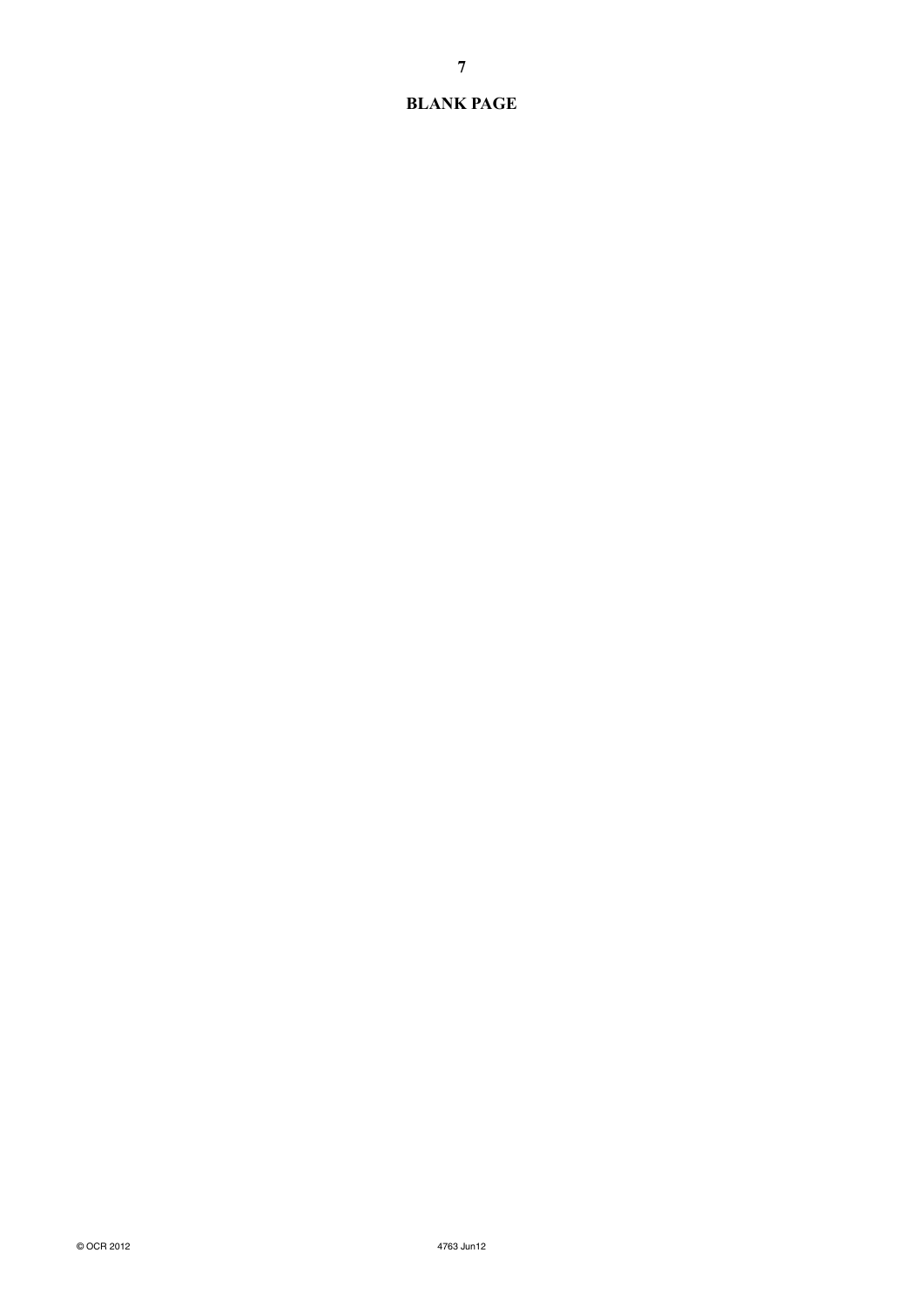#### **BLANK PAGE**